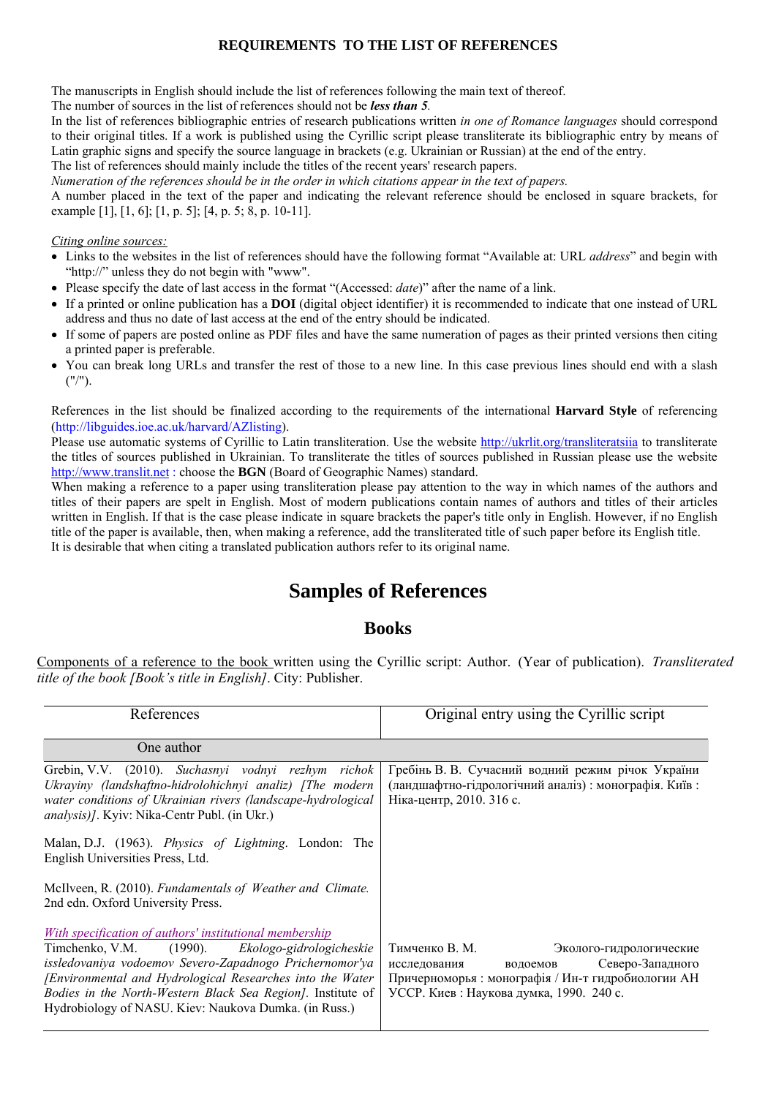#### **REQUIREMENTS TO THE LIST OF REFERENCES**

The manuscripts in English should include the list of references following the main text of thereof.

The number of sources in the list of references should not be *less than 5.*

In the list of references bibliographic entries of research publications written *in one of Romance languages* should correspond to their original titles. If a work is published using the Cyrillic script please transliterate its bibliographic entry by means of Latin graphic signs and specify the source language in brackets (e.g. Ukrainian or Russian) at the end of the entry.

The list of references should mainly include the titles of the recent years' research papers.

*Numeration of the references should be in the order in which citations appear in the text of papers.* 

A number placed in the text of the paper and indicating the relevant reference should be enclosed in square brackets, for example [1], [1, 6]; [1, p. 5]; [4, p. 5; 8, p. 10-11].

#### *Citing online sources:*

- Links to the websites in the list of references should have the following format "Available at: URL *address*" and begin with "http://" unless they do not begin with "www".
- Please specify the date of last access in the format "(Accessed: *date*)" after the name of a link.
- If a printed or online publication has a **DOI** (digital object identifier) it is recommended to indicate that one instead of URL address and thus no date of last access at the end of the entry should be indicated.
- If some of papers are posted online as PDF files and have the same numeration of pages as their printed versions then citing a printed paper is preferable.
- You can break long URLs and transfer the rest of those to a new line. In this case previous lines should end with a slash  $(''')''.$

References in the list should be finalized according to the requirements of the international **Harvard Style** of referencing (http://libguides.ioe.ac.uk/harvard/AZlisting).

Please use automatic systems of Cyrillic to Latin transliteration. Use the website <http://ukrlit.org/transliteratsiia> to transliterate the titles of sources published in Ukrainian. To transliterate the titles of sources published in Russian please use the website [http://www.translit.net](http://www.translit.net/) : choose the **BGN** (Board of Geographic Names) standard.

When making a reference to a paper using transliteration please pay attention to the way in which names of the authors and titles of their papers are spelt in English. Most of modern publications contain names of authors and titles of their articles written in English. If that is the case please indicate in square brackets the paper's title only in English. However, if no English title of the paper is available, then, when making a reference, add the transliterated title of such paper before its English title. It is desirable that when citing a translated publication authors refer to its original name.

## **Samples of References**

#### **Books**

Components of a reference to the book written using the Cyrillic script: Author. (Year of publication). *Transliterated title of the book [Book's title in English]*. City: Publisher.

| References                                                                                                                                                                                                                                                                                                                                                           | Original entry using the Cyrillic script                                                                                                                                                  |
|----------------------------------------------------------------------------------------------------------------------------------------------------------------------------------------------------------------------------------------------------------------------------------------------------------------------------------------------------------------------|-------------------------------------------------------------------------------------------------------------------------------------------------------------------------------------------|
| One author                                                                                                                                                                                                                                                                                                                                                           |                                                                                                                                                                                           |
| Grebin, V.V. (2010). Suchasnyi vodnyi rezhym richok<br>Ukrayiny (landshaftno-hidrolohichnyi analiz) [The modern<br>water conditions of Ukrainian rivers (landscape-hydrological<br><i>analysis</i> )]. Kyiv: Nika-Centr Publ. (in Ukr.)                                                                                                                              | Гребінь В. В. Сучасний водний режим річок України<br>(ландшафтно-гідрологічний аналіз): монографія. Київ:<br>Ніка-центр, 2010. 316 с.                                                     |
| Malan, D.J. (1963). Physics of Lightning. London: The<br>English Universities Press, Ltd.                                                                                                                                                                                                                                                                            |                                                                                                                                                                                           |
| McIlveen, R. (2010). Fundamentals of Weather and Climate.<br>2nd edn. Oxford University Press.                                                                                                                                                                                                                                                                       |                                                                                                                                                                                           |
| With specification of authors' institutional membership<br>$(1990)$ .<br>Ekologo-gidrologicheskie<br>Timchenko, V.M.<br>issledovaniya vodoemov Severo-Zapadnogo Prichernomor'ya<br>[Environmental and Hydrological Researches into the Water<br>Bodies in the North-Western Black Sea Region]. Institute of<br>Hydrobiology of NASU. Kiev: Naukova Dumka. (in Russ.) | Тимченко В. М.<br>Эколого-гидрологические<br>Северо-Западного<br>исследования<br>водоемов<br>Причерноморья: монографія / Ин-т гидробиологии АН<br>УССР. Киев: Наукова думка, 1990. 240 с. |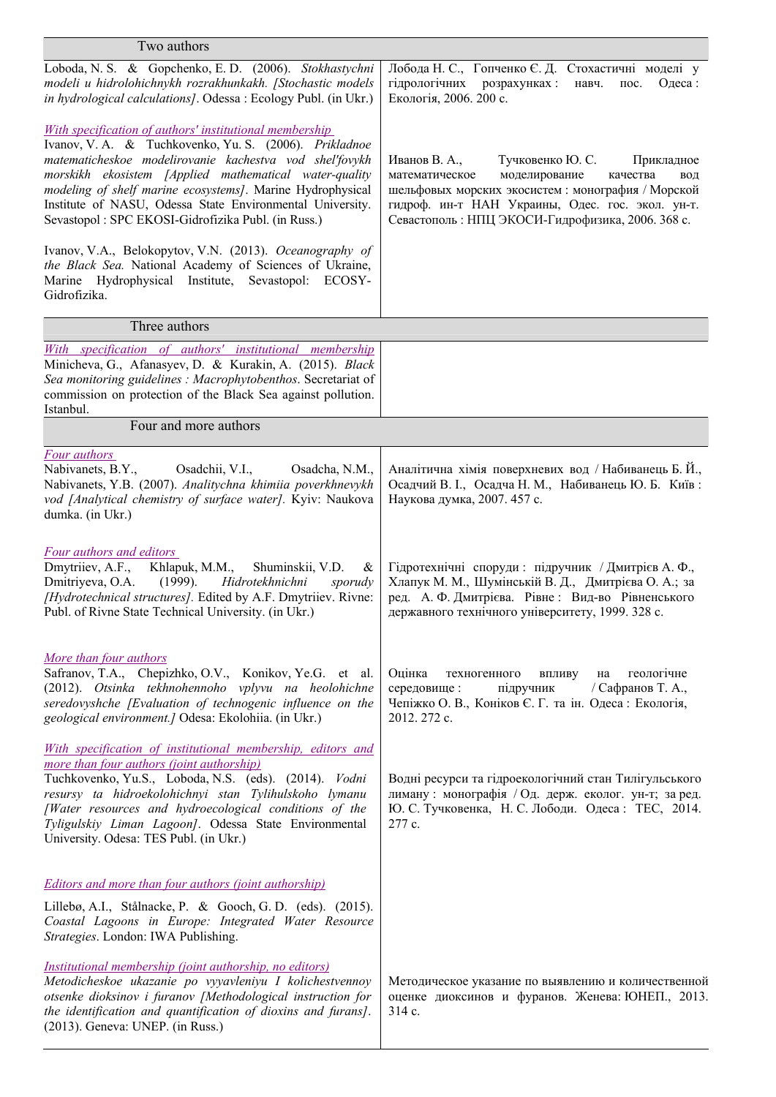| Two authors                                                                                                                                                                                                                                                                                                                                                                                                             |                                                                                                                                                                                                                                                                    |
|-------------------------------------------------------------------------------------------------------------------------------------------------------------------------------------------------------------------------------------------------------------------------------------------------------------------------------------------------------------------------------------------------------------------------|--------------------------------------------------------------------------------------------------------------------------------------------------------------------------------------------------------------------------------------------------------------------|
| Loboda, N. S. & Gopchenko, E. D. (2006). Stokhastychni<br>modeli u hidrolohichnykh rozrakhunkakh. [Stochastic models<br>in hydrological calculations]. Odessa : Ecology Publ. (in Ukr.)                                                                                                                                                                                                                                 | Лобода Н. С., Гопченко Є. Д. Стохастичні моделі у<br>гідрологічних розрахунках:<br>Одеса:<br>навч.<br>$\overline{A}$<br>Екологія, 2006. 200 с.                                                                                                                     |
| With specification of authors' institutional membership<br>Ivanov, V. A. & Tuchkovenko, Yu. S. (2006). Prikladnoe<br>matematicheskoe modelirovanie kachestva vod shel'fovykh<br>morskikh ekosistem [Applied mathematical water-quality<br>modeling of shelf marine ecosystems]. Marine Hydrophysical<br>Institute of NASU, Odessa State Environmental University.<br>Sevastopol: SPC EKOSI-Gidrofizika Publ. (in Russ.) | Тучковенко Ю. С.<br>Иванов В. А.,<br>Прикладное<br>моделирование<br>математическое<br>качества<br>ВОД<br>шельфовых морских экосистем: монография / Морской<br>гидроф. ин-т НАН Украины, Одес. гос. экол. ун-т.<br>Севастополь: НПЦ ЭКОСИ-Гидрофизика, 2006. 368 с. |
| Ivanov, V.A., Belokopytov, V.N. (2013). Oceanography of<br>the Black Sea. National Academy of Sciences of Ukraine,<br>Marine Hydrophysical Institute, Sevastopol: ECOSY-<br>Gidrofizika.                                                                                                                                                                                                                                |                                                                                                                                                                                                                                                                    |
| Three authors                                                                                                                                                                                                                                                                                                                                                                                                           |                                                                                                                                                                                                                                                                    |
| With specification of authors' institutional membership<br>Minicheva, G., Afanasyev, D. & Kurakin, A. (2015). Black<br>Sea monitoring guidelines : Macrophytobenthos. Secretariat of<br>commission on protection of the Black Sea against pollution.<br>Istanbul.                                                                                                                                                       |                                                                                                                                                                                                                                                                    |
| Four and more authors                                                                                                                                                                                                                                                                                                                                                                                                   |                                                                                                                                                                                                                                                                    |
| Four authors<br>Nabivanets, B.Y.,<br>Osadchii, V.I.,<br>Osadcha, N.M.,<br>Nabivanets, Y.B. (2007). Analitychna khimiia poverkhnevykh<br>vod [Analytical chemistry of surface water]. Kyiv: Naukova<br>dumka. (in Ukr.)                                                                                                                                                                                                  | Аналітична хімія поверхневих вод / Набиванець Б. Й.,<br>Осадчий В. І., Осадча Н. М., Набиванець Ю. Б. Київ:<br>Наукова думка, 2007. 457 с.                                                                                                                         |
| Four authors and editors<br>Dmytriiev, A.F.,<br>Khlapuk, M.M., Shuminskii, V.D.<br>&<br>Dmitriyeva, O.A.<br>$(1999)$ .<br>Hidrotekhnichni<br>sporudy<br>[Hydrotechnical structures]. Edited by A.F. Dmytriiev. Rivne:<br>Publ. of Rivne State Technical University. (in Ukr.)                                                                                                                                           | Гідротехнічні споруди: підручник / Дмитрієв А. Ф.,<br>Хлапук М. М., Шумінській В. Д., Дмитрієва О. А.; за<br>ред. А. Ф. Дмитрієва. Рівне: Вид-во Рівненського<br>державного технічного університету, 1999. 328 с.                                                  |
| More than four authors<br>Safranov, T.A., Chepizhko, O.V., Konikov, Ye.G. et al.<br>(2012). Otsinka tekhnohennoho vplyvu na heolohichne<br>seredovyshche [Evaluation of technogenic influence on the<br>geological environment.] Odesa: Ekolohiia. (in Ukr.)                                                                                                                                                            | Оцінка<br>геологічне<br>техногенного<br>впливу<br>на<br>середовище:<br>підручник<br>/ Сафранов Т. А.,<br>Чепіжко О. В., Коніков Є. Г. та ін. Одеса: Екологія,<br>2012. 272 c.                                                                                      |
| With specification of institutional membership, editors and<br>more than four authors (joint authorship)<br>Tuchkovenko, Yu.S., Loboda, N.S. (eds). (2014). Vodni<br>resursy ta hidroekolohichnyi stan Tylihulskoho lymanu<br>[Water resources and hydroecological conditions of the<br>Tyligulskiy Liman Lagoon]. Odessa State Environmental<br>University. Odesa: TES Publ. (in Ukr.)                                 | Водні ресурси та гідроекологічний стан Тилігульського<br>лиману: монографія / Од. держ. еколог. ун-т; за ред.<br>Ю. С. Тучковенка, Н. С. Лободи. Одеса: ТЕС, 2014.<br>277 c.                                                                                       |
| <b>Editors and more than four authors (joint authorship)</b><br>Lillebø, A.I., Stålnacke, P. & Gooch, G.D. (eds). (2015).<br>Coastal Lagoons in Europe: Integrated Water Resource<br>Strategies. London: IWA Publishing.<br>Institutional membership (joint authorship, no editors)<br>Metodicheskoe ukazanie po vyyavleniyu I kolichestvennoy                                                                          | Методическое указание по выявлению и количественной                                                                                                                                                                                                                |
| otsenke dioksinov i furanov [Methodological instruction for<br>the identification and quantification of dioxins and furans].<br>(2013). Geneva: UNEP. (in Russ.)                                                                                                                                                                                                                                                        | оценке диоксинов и фуранов. Женева: ЮНЕП., 2013.<br>314 c.                                                                                                                                                                                                         |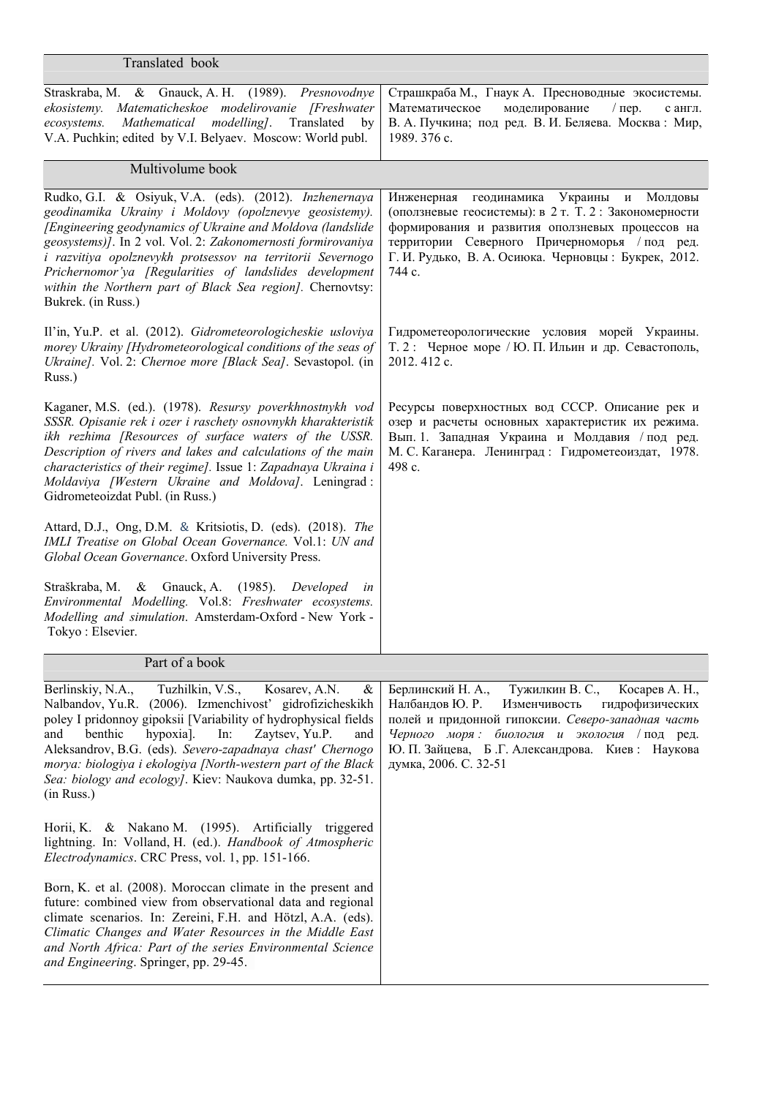| Translated book                                                                                                                                                                                                                                                                                                                                                                                                                                                     |                                                                                                                                                                                                                                                                                                  |
|---------------------------------------------------------------------------------------------------------------------------------------------------------------------------------------------------------------------------------------------------------------------------------------------------------------------------------------------------------------------------------------------------------------------------------------------------------------------|--------------------------------------------------------------------------------------------------------------------------------------------------------------------------------------------------------------------------------------------------------------------------------------------------|
| Straskraba, M. & Gnauck, A. H. (1989). Presnovodnye<br>ekosistemy. Matematicheskoe modelirovanie [Freshwater<br>Mathematical modelling].<br>Translated<br>ecosystems.<br>by<br>V.A. Puchkin; edited by V.I. Belyaev. Moscow: World publ.                                                                                                                                                                                                                            | Страшкраба М., Гнаук А. Пресноводные экосистемы.<br>Математическое<br>моделирование<br>$/$ пер.<br>с англ.<br>В. А. Пучкина; под ред. В. И. Беляева. Москва: Мир,<br>1989. 376 c.                                                                                                                |
| Multivolume book                                                                                                                                                                                                                                                                                                                                                                                                                                                    |                                                                                                                                                                                                                                                                                                  |
| Rudko, G.I. & Osiyuk, V.A. (eds). (2012). Inzhenernaya<br>geodinamika Ukrainy i Moldovy (opolznevye geosistemy).<br>[Engineering geodynamics of Ukraine and Moldova (landslide<br>geosystems)]. In 2 vol. Vol. 2: Zakonomernosti formirovaniya<br>i razvitiya opolznevykh protsessov na territorii Severnogo<br>Prichernomor'ya [Regularities of landslides development<br>within the Northern part of Black Sea region]. Chernovtsy:<br>Bukrek. (in Russ.)         | Инженерная геодинамика<br>Украины и Молдовы<br>(оползневые геосистемы): в 2 т. Т. 2 : Закономерности<br>формирования и развития оползневых процессов на<br>территории Северного Причерноморья / под ред.<br>Г. И. Рудько, В. А. Осиюка. Черновцы: Букрек, 2012.<br>744 c.                        |
| Il'in, Yu.P. et al. (2012). Gidrometeorologicheskie usloviya<br>morey Ukrainy [Hydrometeorological conditions of the seas of<br>Ukraine]. Vol. 2: Chernoe more [Black Sea]. Sevastopol. (in<br>Russ.)                                                                                                                                                                                                                                                               | Гидрометеорологические условия морей Украины.<br>Т. 2: Черное море / Ю. П. Ильин и др. Севастополь,<br>2012. 412 c.                                                                                                                                                                              |
| Kaganer, M.S. (ed.). (1978). Resursy poverkhnostnykh vod<br>SSSR. Opisanie rek i ozer i raschety osnovnykh kharakteristik<br>ikh rezhima [Resources of surface waters of the USSR.<br>Description of rivers and lakes and calculations of the main<br>characteristics of their regime]. Issue 1: Zapadnaya Ukraina i<br>Moldaviya [Western Ukraine and Moldova]. Leningrad:<br>Gidrometeoizdat Publ. (in Russ.)                                                     | Ресурсы поверхностных вод СССР. Описание рек и<br>озер и расчеты основных характеристик их режима.<br>Вып. 1. Западная Украина и Молдавия / под ред.<br>М. С. Каганера. Ленинград: Гидрометеоиздат, 1978.<br>498 c.                                                                              |
| Attard, D.J., Ong, D.M. & Kritsiotis, D. (eds). (2018). The<br>IMLI Treatise on Global Ocean Governance. Vol.1: UN and<br>Global Ocean Governance. Oxford University Press.                                                                                                                                                                                                                                                                                         |                                                                                                                                                                                                                                                                                                  |
| Straškraba, M.<br>& Gnauck, A. (1985). Developed<br>in<br>Environmental Modelling. Vol.8: Freshwater ecosystems.<br>Modelling and simulation. Amsterdam-Oxford - New York -<br>Tokyo: Elsevier.                                                                                                                                                                                                                                                                     |                                                                                                                                                                                                                                                                                                  |
| Part of a book                                                                                                                                                                                                                                                                                                                                                                                                                                                      |                                                                                                                                                                                                                                                                                                  |
| Berlinskiy, N.A.,<br>Tuzhilkin, V.S.,<br>Kosarev, A.N.<br>&<br>Nalbandov, Yu.R. (2006). Izmenchivost' gidrofizicheskikh<br>poley I pridonnoy gipoksii [Variability of hydrophysical fields<br>Zaytsev, Yu.P.<br>benthic<br>hypoxia].<br>In:<br>and<br>and<br>Aleksandrov, B.G. (eds). Severo-zapadnaya chast' Chernogo<br>morya: biologiya i ekologiya [North-western part of the Black<br>Sea: biology and ecology]. Kiev: Naukova dumka, pp. 32-51.<br>(in Russ.) | Берлинский Н. А.,<br>Тужилкин В. С.,<br>Косарев А. Н.,<br>Налбандов Ю. Р.<br>Изменчивость<br>гидрофизических<br>полей и придонной гипоксии. Северо-западная часть<br>Черного моря:<br>биология и экология / под ред.<br>Ю. П. Зайцева, Б.Г. Александрова. Киев: Наукова<br>думка, 2006. С. 32-51 |
| Nakano M. (1995). Artificially<br>Horii, K. $\&$<br>triggered<br>lightning. In: Volland, H. (ed.). Handbook of Atmospheric<br>Electrodynamics. CRC Press, vol. 1, pp. 151-166.                                                                                                                                                                                                                                                                                      |                                                                                                                                                                                                                                                                                                  |
| Born, K. et al. (2008). Moroccan climate in the present and<br>future: combined view from observational data and regional<br>climate scenarios. In: Zereini, F.H. and Hötzl, A.A. (eds).<br>Climatic Changes and Water Resources in the Middle East<br>and North Africa: Part of the series Environmental Science<br>and Engineering. Springer, pp. 29-45.                                                                                                          |                                                                                                                                                                                                                                                                                                  |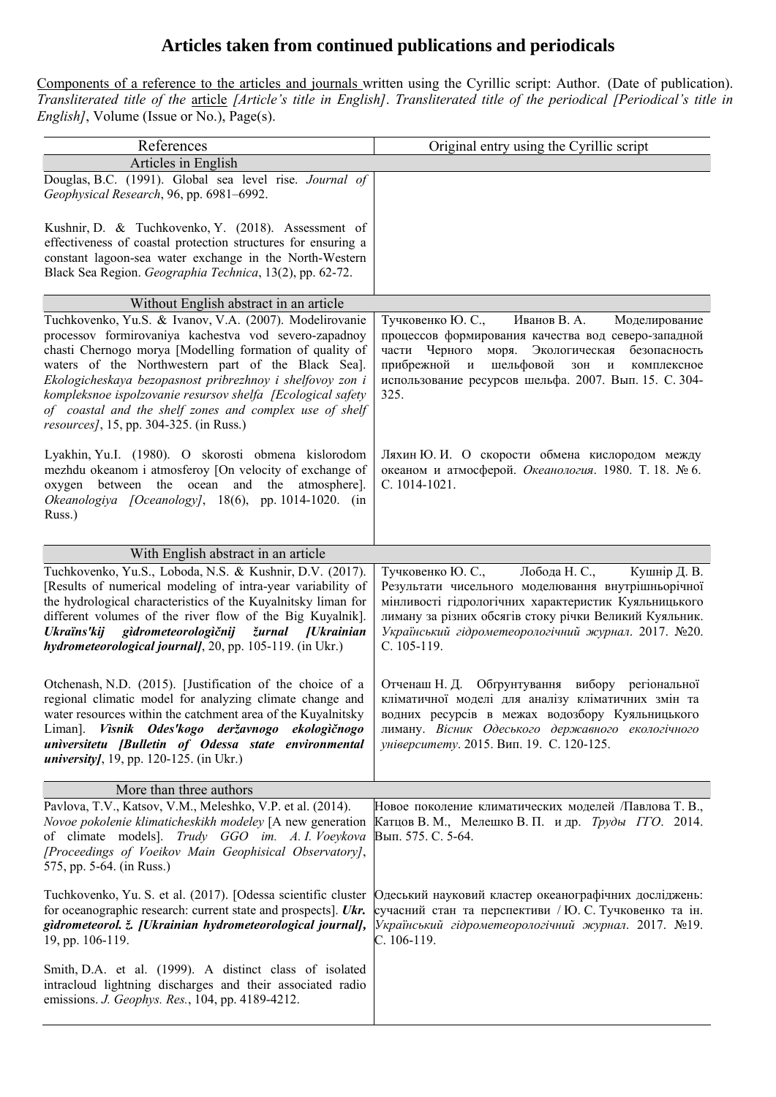## **Articles taken from continued publications and periodicals**

Components of a reference to the articles and journals written using the Cyrillic script: Author. (Date of publication). *Transliterated title of the* article *[Article's title in English]*. *Transliterated title of the periodical [Periodical's title in English]*, Volume (Issue or  $\overline{No}$ ), Page(s).

| References                                                                                                                                                                                                                                                                                                                                                                                                                                                                   | Original entry using the Cyrillic script                                                                                                                                                                                                                                                                                    |
|------------------------------------------------------------------------------------------------------------------------------------------------------------------------------------------------------------------------------------------------------------------------------------------------------------------------------------------------------------------------------------------------------------------------------------------------------------------------------|-----------------------------------------------------------------------------------------------------------------------------------------------------------------------------------------------------------------------------------------------------------------------------------------------------------------------------|
| Articles in English                                                                                                                                                                                                                                                                                                                                                                                                                                                          |                                                                                                                                                                                                                                                                                                                             |
| Douglas, B.C. (1991). Global sea level rise. Journal of<br>Geophysical Research, 96, pp. 6981-6992.                                                                                                                                                                                                                                                                                                                                                                          |                                                                                                                                                                                                                                                                                                                             |
| Kushnir, D. & Tuchkovenko, Y. (2018). Assessment of<br>effectiveness of coastal protection structures for ensuring a<br>constant lagoon-sea water exchange in the North-Western                                                                                                                                                                                                                                                                                              |                                                                                                                                                                                                                                                                                                                             |
| Black Sea Region. Geographia Technica, 13(2), pp. 62-72.                                                                                                                                                                                                                                                                                                                                                                                                                     |                                                                                                                                                                                                                                                                                                                             |
| Without English abstract in an article                                                                                                                                                                                                                                                                                                                                                                                                                                       |                                                                                                                                                                                                                                                                                                                             |
| Tuchkovenko, Yu.S. & Ivanov, V.A. (2007). Modelirovanie<br>processov formirovaniya kachestva vod severo-zapadnoy<br>chasti Chernogo morya [Modelling formation of quality of<br>waters of the Northwestern part of the Black Sea].<br>Ekologicheskaya bezopasnost pribrezhnoy i shelfovoy zon i<br>kompleksnoe ispolzovanie resursov shelfa [Ecological safety<br>of coastal and the shelf zones and complex use of shelf<br><i>resources]</i> , 15, pp. 304-325. (in Russ.) | Тучковенко Ю. С.,<br>Иванов В. А.<br>Моделирование<br>процессов формирования качества вод северо-западной<br>части Черного моря. Экологическая<br>безопасность<br>шельфовой<br>прибрежной<br>$\mathbf{M}$<br>$30\mathrm{H}$<br>$\mathbf{M}$<br>комплексное<br>использование ресурсов шельфа. 2007. Вып. 15. С. 304-<br>325. |
| Lyakhin, Yu.I. (1980). O skorosti obmena kislorodom<br>mezhdu okeanom i atmosferoy [On velocity of exchange of<br>oxygen between the ocean and the atmosphere].<br>Okeanologiya [Oceanology], 18(6), pp. 1014-1020. (in<br>Russ.)                                                                                                                                                                                                                                            | Ляхин Ю. И. О скорости обмена кислородом между<br>океаном и атмосферой. Океанология. 1980. Т. 18. № 6.<br>C. 1014-1021.                                                                                                                                                                                                     |
| With English abstract in an article                                                                                                                                                                                                                                                                                                                                                                                                                                          |                                                                                                                                                                                                                                                                                                                             |
| Tuchkovenko, Yu.S., Loboda, N.S. & Kushnir, D.V. (2017).<br>[Results of numerical modeling of intra-year variability of<br>the hydrological characteristics of the Kuyalnitsky liman for<br>different volumes of the river flow of the Big Kuyalnik].<br>Ukraïns'kij gidrometeorologičnij žurnal [Ukrainian<br>hydrometeorological journal], 20, pp. 105-119. (in Ukr.)                                                                                                      | Лобода Н. С.,<br>Тучковенко Ю. С.,<br>Кушнір Д. В.<br>Результати чисельного моделювання внутрішньорічної<br>мінливості гідрологічних характеристик Куяльницького<br>лиману за різних обсягів стоку річки Великий Куяльник.<br>Український гідрометеорологічний журнал. 2017. №20.<br>C. 105-119.                            |
| Otchenash, N.D. (2015). [Justification of the choice of a<br>regional climatic model for analyzing climate change and<br>water resources within the catchment area of the Kuyalnitsky<br>Liman]. Visnik Odes'kogo deržavnogo ekologičnogo<br>universitetu [Bulletin of Odessa state environmental<br><i>university,</i> 19, pp. 120-125. (in Ukr.)                                                                                                                           | Отченаш Н. Д. Обгрунтування вибору регіональної<br>кліматичної моделі для аналізу кліматичних змін та<br>водних ресурсів в межах водозбору Куяльницького<br>лиману. Вісник Одеського державного екологічного<br>університету. 2015. Вип. 19. С. 120-125.                                                                    |
| More than three authors                                                                                                                                                                                                                                                                                                                                                                                                                                                      |                                                                                                                                                                                                                                                                                                                             |
| Pavlova, T.V., Katsov, V.M., Meleshko, V.P. et al. (2014).<br>Novoe pokolenie klimaticheskikh modeley [A new generation<br>of climate models]. Trudy GGO im. A. I. Voeykova<br>[Proceedings of Voeikov Main Geophisical Observatory],<br>575, pp. 5-64. (in Russ.)                                                                                                                                                                                                           | Новое поколение климатических моделей /Павлова Т. В.,<br>Катцов В. М., Мелешко В. П. и др. <i>Труды ГГО</i> . 2014.<br>Вып. 575. С. 5-64.                                                                                                                                                                                   |
| Tuchkovenko, Yu. S. et al. (2017). [Odessa scientific cluster<br>for oceanographic research: current state and prospects]. Ukr.<br>gidrometeorol. ž. [Ukrainian hydrometeorological journal],<br>19, pp. 106-119.                                                                                                                                                                                                                                                            | Одеський науковий кластер океанографічних досліджень:<br>сучасний стан та перспективи / Ю. С. Тучковенко та ін.<br>Український гідрометеорологічний журнал. 2017. №19.<br>C. 106-119.                                                                                                                                       |
| Smith, D.A. et al. (1999). A distinct class of isolated<br>intracloud lightning discharges and their associated radio<br>emissions. J. Geophys. Res., 104, pp. 4189-4212.                                                                                                                                                                                                                                                                                                    |                                                                                                                                                                                                                                                                                                                             |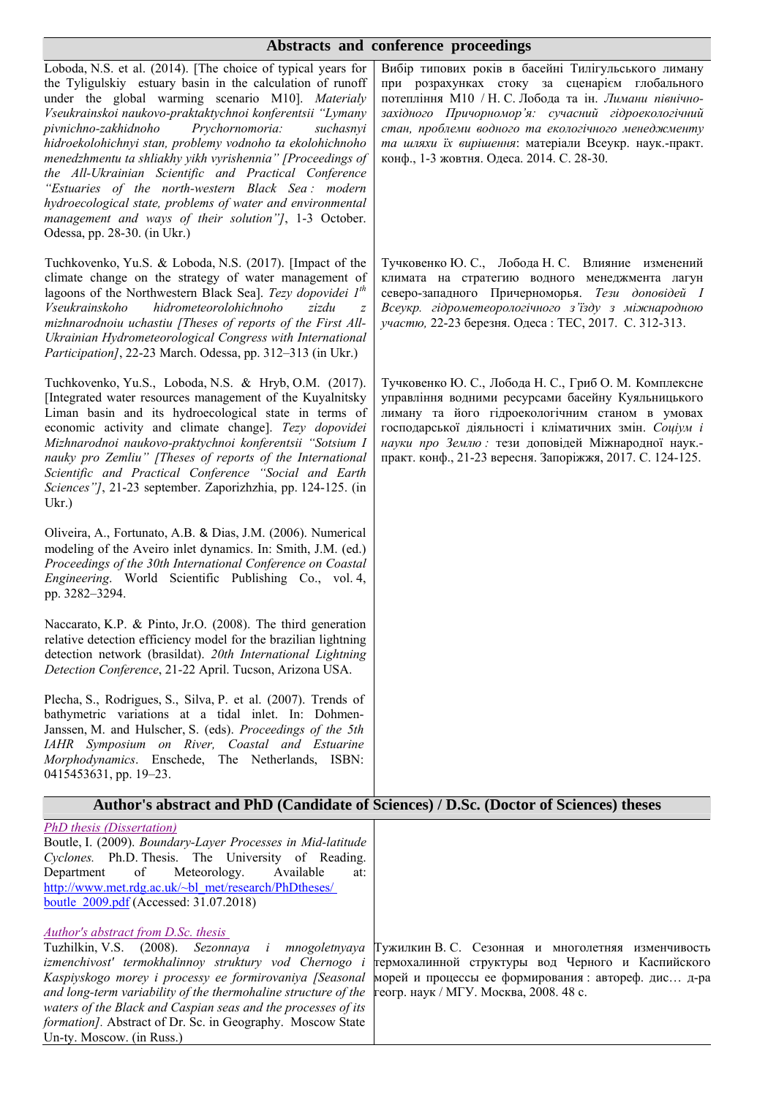#### **Abstracts and conference proceedings**

| Loboda, N.S. et al. (2014). [The choice of typical years for<br>the Tyligulskiy estuary basin in the calculation of runoff<br>under the global warming scenario M10]. Materialy<br>Vseukrainskoi naukovo-praktaktychnoi konferentsii "Lymany<br>pivnichno-zakhidnoho<br>Prychornomoria:<br>suchasnyi<br>hidroekolohichnyi stan, problemy vodnoho ta ekolohichnoho<br>menedzhmentu ta shliakhy yikh vyrishennia" [Proceedings of<br>the All-Ukrainian Scientific and Practical Conference<br>"Estuaries of the north-western Black Sea: modern<br>hydroecological state, problems of water and environmental<br>management and ways of their solution"], 1-3 October.<br>Odessa, pp. 28-30. (in Ukr.) | Вибір типових років в басейні Тилігульського лиману<br>при розрахунках стоку за сценарієм глобального<br>потепління М10 / Н. С. Лобода та ін. Лимани північно-<br>західного Причорномор'я: сучасний гідроекологічний<br>стан, проблеми водного та екологічного менеджменту<br>та шляхи їх вирішення: матеріали Всеукр. наук.-практ.<br>конф., 1-3 жовтня. Одеса. 2014. С. 28-30. |
|------------------------------------------------------------------------------------------------------------------------------------------------------------------------------------------------------------------------------------------------------------------------------------------------------------------------------------------------------------------------------------------------------------------------------------------------------------------------------------------------------------------------------------------------------------------------------------------------------------------------------------------------------------------------------------------------------|----------------------------------------------------------------------------------------------------------------------------------------------------------------------------------------------------------------------------------------------------------------------------------------------------------------------------------------------------------------------------------|
| Tuchkovenko, Yu.S. & Loboda, N.S. (2017). [Impact of the<br>climate change on the strategy of water management of<br>lagoons of the Northwestern Black Sea]. Tezy dopovidei $Ith$<br>hidrometeorolohichnoho<br>Vseukrainskoho<br>zizdu<br>$\boldsymbol{Z}$<br>mizhnarodnoiu uchastiu [Theses of reports of the First All-<br>Ukrainian Hydrometeorological Congress with International<br>Participation], 22-23 March. Odessa, pp. 312-313 (in Ukr.)                                                                                                                                                                                                                                                 | Тучковенко Ю. С., Лобода Н. С. Влияние изменений<br>климата на стратегию водного менеджмента лагун<br>северо-западного Причерноморья. Тези доповідей І<br>Всеукр. гідрометеорологічного з'їзду з міжнародною<br>участю, 22-23 березня. Одеса: ТЕС, 2017. С. 312-313.                                                                                                             |
| Tuchkovenko, Yu.S., Loboda, N.S. & Hryb, O.M. (2017).<br>[Integrated water resources management of the Kuyalnitsky<br>Liman basin and its hydroecological state in terms of<br>economic activity and climate change]. Tezy dopovidei<br>Mizhnarodnoi naukovo-praktychnoi konferentsii "Sotsium I<br>nauky pro Zemliu" [Theses of reports of the International<br>Scientific and Practical Conference "Social and Earth<br>Sciences"], 21-23 september. Zaporizhzhia, pp. 124-125. (in<br>Ukr.                                                                                                                                                                                                        | Тучковенко Ю. С., Лобода Н. С., Гриб О. М. Комплексне<br>управління водними ресурсами басейну Куяльницького<br>лиману та його гідроекологічним станом в умовах<br>господарської діяльності і кліматичних змін. Соціум і<br>науки про Землю: тези доповідей Міжнародної наук.-<br>практ. конф., 21-23 вересня. Запоріжжя, 2017. С. 124-125.                                       |
| Oliveira, A., Fortunato, A.B. & Dias, J.M. (2006). Numerical<br>modeling of the Aveiro inlet dynamics. In: Smith, J.M. (ed.)<br>Proceedings of the 30th International Conference on Coastal<br>Engineering. World Scientific Publishing Co., vol. 4,<br>pp. 3282-3294.                                                                                                                                                                                                                                                                                                                                                                                                                               |                                                                                                                                                                                                                                                                                                                                                                                  |
| Naccarato, K.P. & Pinto, Jr.O. (2008). The third generation<br>relative detection efficiency model for the brazilian lightning<br>detection network (brasildat). 20th International Lightning<br>Detection Conference, 21-22 April. Tucson, Arizona USA.                                                                                                                                                                                                                                                                                                                                                                                                                                             |                                                                                                                                                                                                                                                                                                                                                                                  |
| Plecha, S., Rodrigues, S., Silva, P. et al. (2007). Trends of<br>bathymetric variations at a tidal inlet. In: Dohmen-<br>Janssen, M. and Hulscher, S. (eds). Proceedings of the 5th<br>IAHR Symposium on River, Coastal and Estuarine<br>Morphodynamics. Enschede, The Netherlands, ISBN:<br>0415453631, pp. 19–23.                                                                                                                                                                                                                                                                                                                                                                                  |                                                                                                                                                                                                                                                                                                                                                                                  |
|                                                                                                                                                                                                                                                                                                                                                                                                                                                                                                                                                                                                                                                                                                      | Author's abstract and PhD (Candidate of Sciences) / D.Sc. (Doctor of Sciences) theses                                                                                                                                                                                                                                                                                            |
| <b>PhD</b> thesis (Dissertation)<br>Boutle, I. (2009). Boundary-Layer Processes in Mid-latitude<br>Cyclones. Ph.D. Thesis. The University of Reading.<br>Department<br>of<br>Meteorology.<br>Available<br>at:<br>http://www.met.rdg.ac.uk/~bl met/research/PhDtheses/<br>boutle 2009.pdf (Accessed: 31.07.2018)                                                                                                                                                                                                                                                                                                                                                                                      |                                                                                                                                                                                                                                                                                                                                                                                  |
| Author's abstract from D.Sc. thesis<br>(2008).<br>Sezonnaya<br>Tuzhilkin, V.S.<br>i mnogoletnyaya<br>izmenchivost' termokhalinnoy struktury vod Chernogo i<br>Kaspiyskogo morey i processy ee formirovaniya [Seasonal<br>and long-term variability of the thermohaline structure of the<br>waters of the Black and Caspian seas and the processes of its<br>formation]. Abstract of Dr. Sc. in Geography. Moscow State<br>Un-ty. Moscow. (in Russ.)                                                                                                                                                                                                                                                  | Тужилкин В. С. Сезонная и многолетняя изменчивость<br>термохалинной структуры вод Черного и Каспийского<br>морей и процессы ее формирования: автореф. дис д-ра<br>геогр. наук / МГУ. Москва, 2008. 48 с.                                                                                                                                                                         |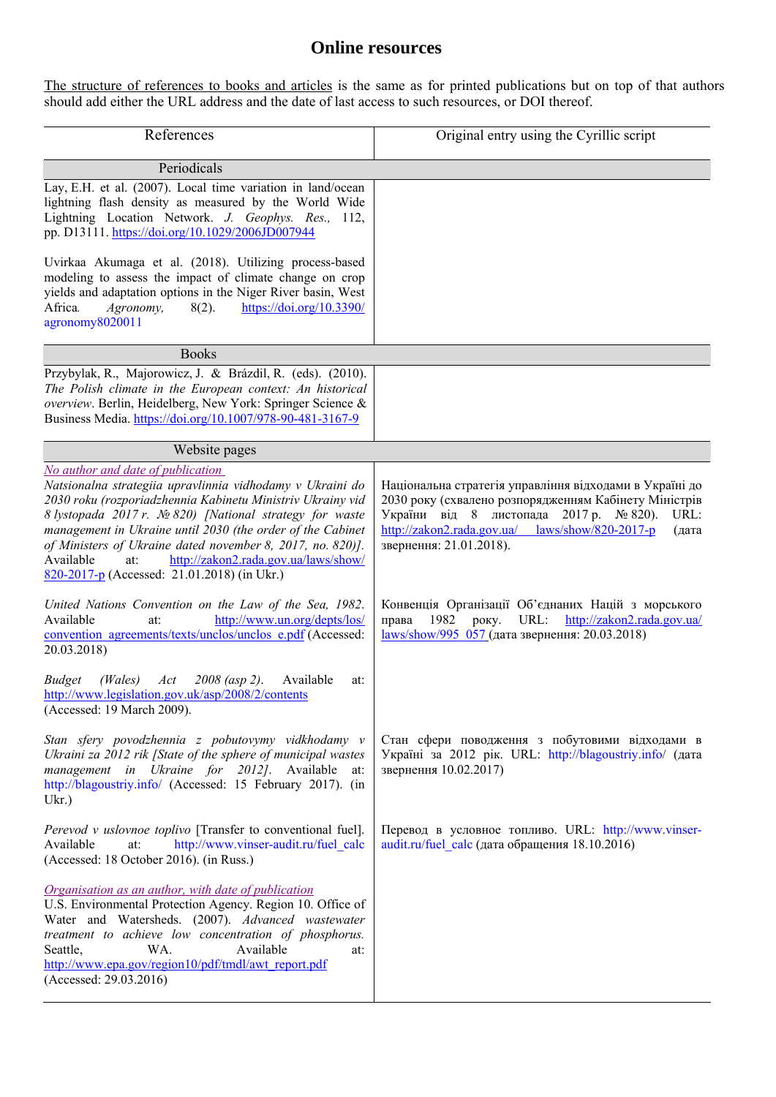## **Online resources**

The structure of references to books and articles is the same as for printed publications but on top of that authors should add either the URL address and the date of last access to such resources, or DOI thereof.

| References                                                                                                                                                                                                                                                                                                                                                                                                                                                      | Original entry using the Cyrillic script                                                                                                                                                                                                                      |
|-----------------------------------------------------------------------------------------------------------------------------------------------------------------------------------------------------------------------------------------------------------------------------------------------------------------------------------------------------------------------------------------------------------------------------------------------------------------|---------------------------------------------------------------------------------------------------------------------------------------------------------------------------------------------------------------------------------------------------------------|
| Periodicals                                                                                                                                                                                                                                                                                                                                                                                                                                                     |                                                                                                                                                                                                                                                               |
| Lay, E.H. et al. (2007). Local time variation in land/ocean<br>lightning flash density as measured by the World Wide<br>Lightning Location Network. J. Geophys. Res., 112,<br>pp. D13111. https://doi.org/10.1029/2006JD007944                                                                                                                                                                                                                                  |                                                                                                                                                                                                                                                               |
| Uvirkaa Akumaga et al. (2018). Utilizing process-based<br>modeling to assess the impact of climate change on crop<br>yields and adaptation options in the Niger River basin, West<br>Africa.<br>Agronomy,<br>$8(2)$ .<br>https://doi.org/10.3390/<br>agronomy8020011                                                                                                                                                                                            |                                                                                                                                                                                                                                                               |
| <b>Books</b>                                                                                                                                                                                                                                                                                                                                                                                                                                                    |                                                                                                                                                                                                                                                               |
| Przybylak, R., Majorowicz, J. & Brázdil, R. (eds). (2010).<br>The Polish climate in the European context: An historical<br>overview. Berlin, Heidelberg, New York: Springer Science &<br>Business Media. https://doi.org/10.1007/978-90-481-3167-9                                                                                                                                                                                                              |                                                                                                                                                                                                                                                               |
| Website pages                                                                                                                                                                                                                                                                                                                                                                                                                                                   |                                                                                                                                                                                                                                                               |
| No author and date of publication<br>Natsionalna strategiia upravlinnia vidhodamy v Ukraini do<br>2030 roku (rozporiadzhennia Kabinetu Ministriv Ukrainy vid<br>8 lystopada 2017 r. Nº 820) [National strategy for waste<br>management in Ukraine until 2030 (the order of the Cabinet<br>of Ministers of Ukraine dated november 8, 2017, no. 820)].<br>Available<br>http://zakon2.rada.gov.ua/laws/show/<br>at:<br>820-2017-p (Accessed: 21.01.2018) (in Ukr.) | Національна стратегія управління відходами в Україні до<br>2030 року (схвалено розпорядженням Кабінету Міністрів<br>України від 8 листопада 2017 р. № 820).<br>URL:<br>http://zakon2.rada.gov.ua/<br>laws/show/820-2017-p<br>(дата<br>звернення: 21.01.2018). |
| United Nations Convention on the Law of the Sea, 1982.<br>Available<br>http://www.un.org/depts/los/<br>at:<br>convention agreements/texts/unclos/unclos e.pdf (Accessed:<br>20.03.2018)                                                                                                                                                                                                                                                                         | Конвенція Організації Об'єднаних Націй з морського<br>URL:<br>1982<br>року.<br>http://zakon2.rada.gov.ua/<br>права<br>laws/show/995 057 (дата звернення: 20.03.2018)                                                                                          |
| <b>Budget</b><br>(Wales)<br>$2008$ (asp 2).<br>Available<br>Act<br>at:<br>http://www.legislation.gov.uk/asp/2008/2/contents<br>(Accessed: 19 March 2009).                                                                                                                                                                                                                                                                                                       |                                                                                                                                                                                                                                                               |
| Stan sfery povodzhennia z pobutovymy vidkhodamy v<br>Ukraini za 2012 rik [State of the sphere of municipal wastes<br>management in Ukraine for 2012]. Available<br>at:<br>http://blagoustriy.info/ (Accessed: 15 February 2017). (in<br>$Ukr.$ )                                                                                                                                                                                                                | Стан сфери поводження з побутовими відходами в<br>Україні за 2012 рік. URL: http://blagoustriy.info/ (дата<br>звернення 10.02.2017)                                                                                                                           |
| Perevod v uslovnoe toplivo [Transfer to conventional fuel].<br>http://www.vinser-audit.ru/fuel calc<br>at:<br>Available<br>(Accessed: 18 October 2016). (in Russ.)                                                                                                                                                                                                                                                                                              | Перевод в условное топливо. URL: http://www.vinser-<br>audit.ru/fuel calc (дата обращения 18.10.2016)                                                                                                                                                         |
| Organisation as an author, with date of publication<br>U.S. Environmental Protection Agency. Region 10. Office of<br>Water and Watersheds. (2007). Advanced wastewater<br>treatment to achieve low concentration of phosphorus.<br>Available<br>WA.<br>Seattle,<br>at:<br>http://www.epa.gov/region10/pdf/tmdl/awt_report.pdf<br>(Accessed: 29.03.2016)                                                                                                         |                                                                                                                                                                                                                                                               |